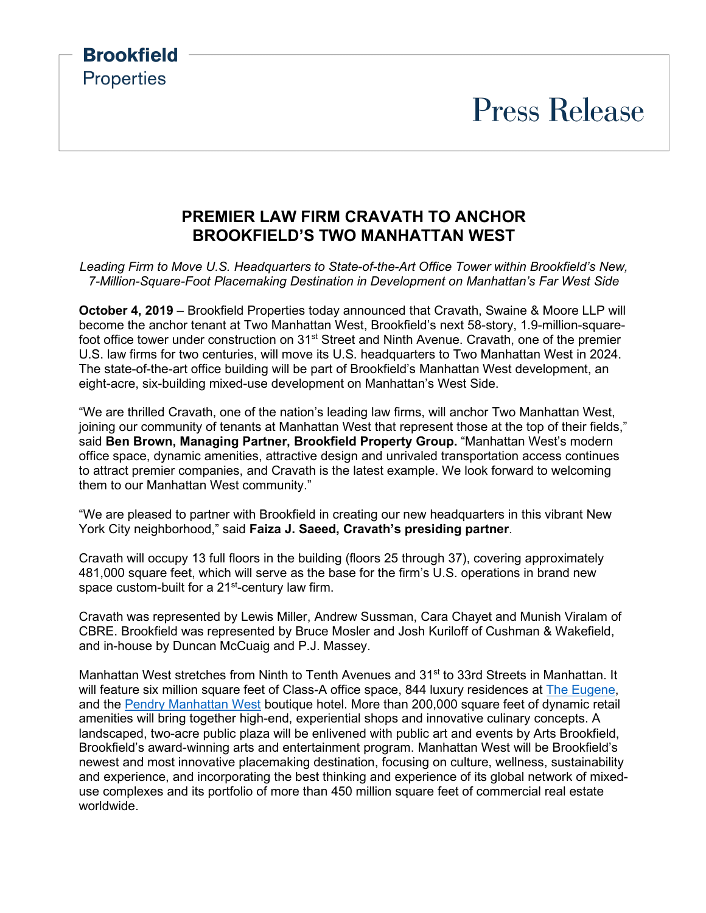# **Press Release**

#### **PREMIER LAW FIRM CRAVATH TO ANCHOR BROOKFIELD'S TWO MANHATTAN WEST**

**Brookfield** 

**Properties** 

*Leading Firm to Move U.S. Headquarters to State-of-the-Art Office Tower within Brookfield's New, 7-Million-Square-Foot Placemaking Destination in Development on Manhattan's Far West Side*

**October 4, 2019** – Brookfield Properties today announced that Cravath, Swaine & Moore LLP will become the anchor tenant at Two Manhattan West, Brookfield's next 58-story, 1.9-million-squarefoot office tower under construction on 31<sup>st</sup> Street and Ninth Avenue. Cravath, one of the premier U.S. law firms for two centuries, will move its U.S. headquarters to Two Manhattan West in 2024. The state-of-the-art office building will be part of Brookfield's Manhattan West development, an eight-acre, six-building mixed-use development on Manhattan's West Side.

"We are thrilled Cravath, one of the nation's leading law firms, will anchor Two Manhattan West, joining our community of tenants at Manhattan West that represent those at the top of their fields," said **Ben Brown, Managing Partner, Brookfield Property Group.** "Manhattan West's modern office space, dynamic amenities, attractive design and unrivaled transportation access continues to attract premier companies, and Cravath is the latest example. We look forward to welcoming them to our Manhattan West community."

"We are pleased to partner with Brookfield in creating our new headquarters in this vibrant New York City neighborhood," said **Faiza J. Saeed, Cravath's presiding partner**.

Cravath will occupy 13 full floors in the building (floors 25 through 37), covering approximately 481,000 square feet, which will serve as the base for the firm's U.S. operations in brand new space custom-built for a 21<sup>st</sup>-century law firm.

Cravath was represented by Lewis Miller, Andrew Sussman, Cara Chayet and Munish Viralam of CBRE. Brookfield was represented by Bruce Mosler and Josh Kuriloff of Cushman & Wakefield, and in-house by Duncan McCuaig and P.J. Massey.

Manhattan West stretches from Ninth to Tenth Avenues and 31<sup>st</sup> to 33rd Streets in Manhattan. It will feature six million square feet of Class-A office space, 844 luxury residences at [The Eugene,](https://theeugenenyc.com/) and the [Pendry Manhattan West](https://www.pendry.com/manhattan-west/) boutique hotel. More than 200,000 square feet of dynamic retail amenities will bring together high-end, experiential shops and innovative culinary concepts. A landscaped, two-acre public plaza will be enlivened with public art and events by Arts Brookfield, Brookfield's award-winning arts and entertainment program. Manhattan West will be Brookfield's newest and most innovative placemaking destination, focusing on culture, wellness, sustainability and experience, and incorporating the best thinking and experience of its global network of mixeduse complexes and its portfolio of more than 450 million square feet of commercial real estate worldwide.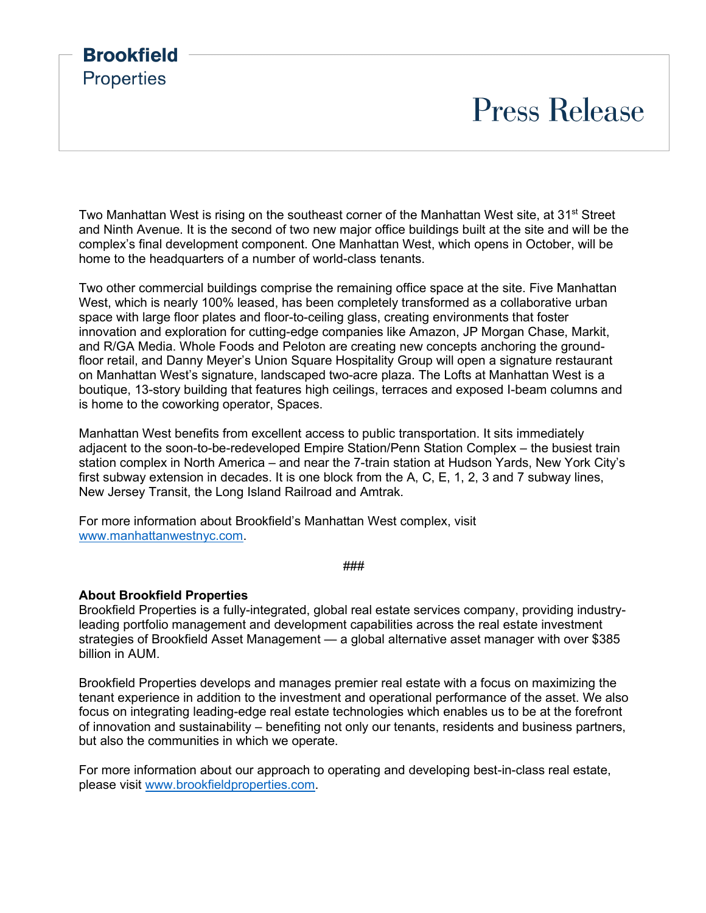## **Brookfield Properties Press Release**

Two Manhattan West is rising on the southeast corner of the Manhattan West site, at 31<sup>st</sup> Street and Ninth Avenue. It is the second of two new major office buildings built at the site and will be the complex's final development component. One Manhattan West, which opens in October, will be home to the headquarters of a number of world-class tenants.

Two other commercial buildings comprise the remaining office space at the site. Five Manhattan West, which is nearly 100% leased, has been completely transformed as a collaborative urban space with large floor plates and floor-to-ceiling glass, creating environments that foster innovation and exploration for cutting-edge companies like Amazon, JP Morgan Chase, Markit, and R/GA Media. Whole Foods and Peloton are creating new concepts anchoring the groundfloor retail, and Danny Meyer's Union Square Hospitality Group will open a signature restaurant on Manhattan West's signature, landscaped two-acre plaza. The Lofts at Manhattan West is a boutique, 13-story building that features high ceilings, terraces and exposed I-beam columns and is home to the coworking operator, Spaces.

Manhattan West benefits from excellent access to public transportation. It sits immediately adjacent to the soon-to-be-redeveloped Empire Station/Penn Station Complex – the busiest train station complex in North America – and near the 7-train station at Hudson Yards, New York City's first subway extension in decades. It is one block from the A, C, E, 1, 2, 3 and 7 subway lines, New Jersey Transit, the Long Island Railroad and Amtrak.

For more information about Brookfield's Manhattan West complex, visit [www.manhattanwestnyc.com.](http://www.manhattanwestnyc.com/)

###

#### **About Brookfield Properties**

Brookfield Properties is a fully-integrated, global real estate services company, providing industryleading portfolio management and development capabilities across the real estate investment strategies of Brookfield Asset Management — a global alternative asset manager with over \$385 billion in AUM.

Brookfield Properties develops and manages premier real estate with a focus on maximizing the tenant experience in addition to the investment and operational performance of the asset. We also focus on integrating leading-edge real estate technologies which enables us to be at the forefront of innovation and sustainability – benefiting not only our tenants, residents and business partners, but also the communities in which we operate.

For more information about our approach to operating and developing best-in-class real estate, please visit [www.brookfieldproperties.com.](http://www.brookfieldproperties.com/)